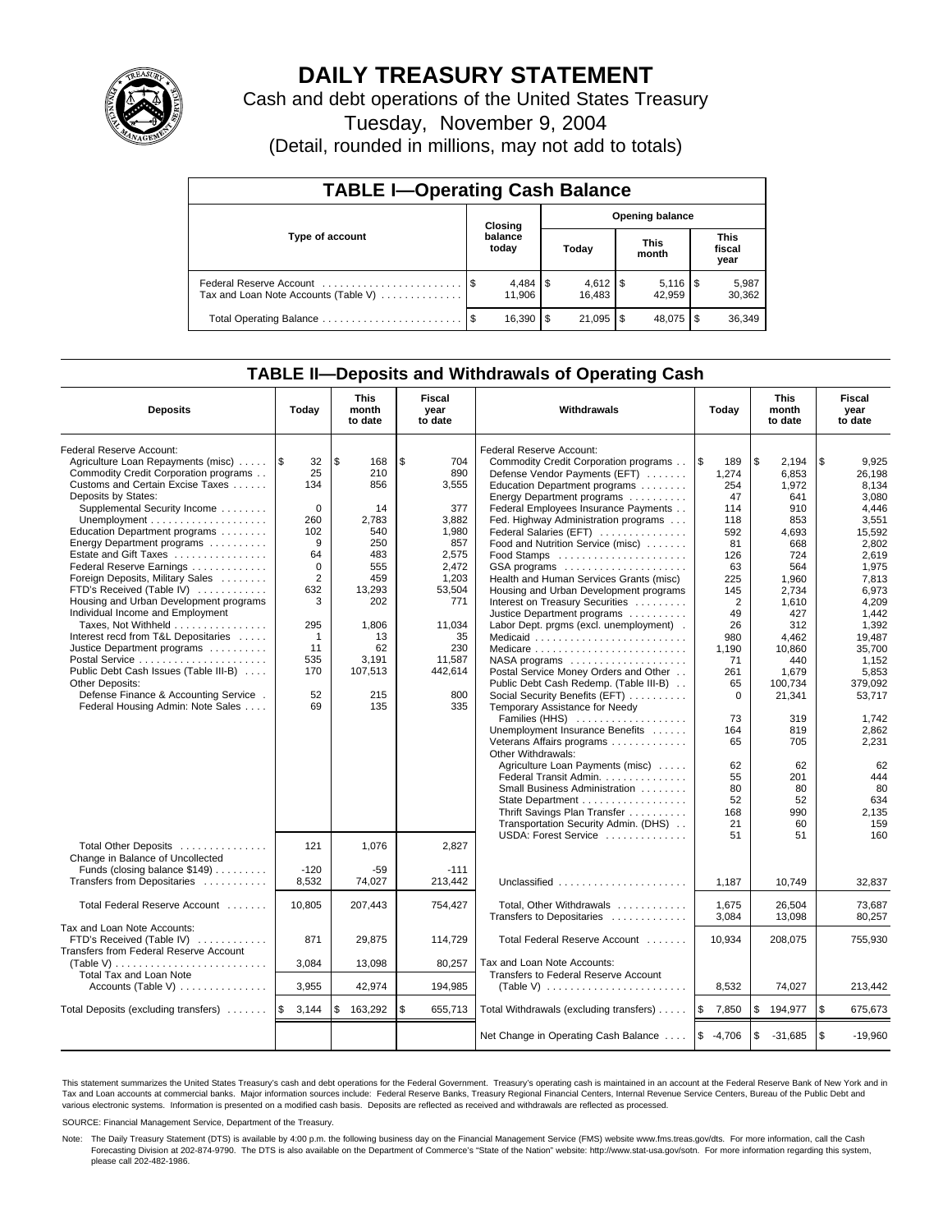

# **DAILY TREASURY STATEMENT**

Cash and debt operations of the United States Treasury

Tuesday, November 9, 2004

(Detail, rounded in millions, may not add to totals)

| <b>TABLE I-Operating Cash Balance</b> |         |                       |     |        |                        |                                 |                               |                 |  |  |
|---------------------------------------|---------|-----------------------|-----|--------|------------------------|---------------------------------|-------------------------------|-----------------|--|--|
|                                       | Closing |                       |     |        | <b>Opening balance</b> |                                 |                               |                 |  |  |
| Type of account                       |         | balance<br>today      |     | Today  |                        | <b>This</b><br>month            | <b>This</b><br>fiscal<br>year |                 |  |  |
| Tax and Loan Note Accounts (Table V)  |         | $4,484$ \\$<br>11.906 |     | 16.483 |                        | $5,116$ $\frac{1}{3}$<br>42.959 |                               | 5,987<br>30,362 |  |  |
|                                       |         | 16,390                | 1\$ |        |                        | 48.075 \$                       |                               | 36,349          |  |  |

### **TABLE II—Deposits and Withdrawals of Operating Cash**

| <b>Deposits</b>                              | Today          | <b>This</b><br>month<br>to date | Fiscal<br>year<br>to date | <b>Withdrawals</b>                                           | Today          | <b>This</b><br>month<br>to date | Fiscal<br>year<br>to date |
|----------------------------------------------|----------------|---------------------------------|---------------------------|--------------------------------------------------------------|----------------|---------------------------------|---------------------------|
| Federal Reserve Account:                     |                |                                 |                           | Federal Reserve Account:                                     |                |                                 |                           |
| Agriculture Loan Repayments (misc)           | 1\$<br>32      | \$<br>168                       | \$<br>704                 | Commodity Credit Corporation programs                        | l\$<br>189     | \$<br>2,194                     | \$<br>9,925               |
| Commodity Credit Corporation programs        | 25             | 210                             | 890                       | Defense Vendor Payments (EFT)                                | 1,274          | 6,853                           | 26,198                    |
| Customs and Certain Excise Taxes             | 134            | 856                             | 3,555                     | Education Department programs                                | 254            | 1,972                           | 8.134                     |
| Deposits by States:                          |                |                                 |                           | Energy Department programs                                   | 47             | 641                             | 3.080                     |
| Supplemental Security Income                 | $\mathbf 0$    | 14                              | 377                       | Federal Employees Insurance Payments                         | 114            | 910                             | 4.446                     |
|                                              | 260            | 2.783                           | 3.882                     | Fed. Highway Administration programs                         | 118            | 853                             | 3,551                     |
| Education Department programs                | 102            | 540                             | 1,980                     | Federal Salaries (EFT)                                       | 592            | 4,693                           | 15,592                    |
| Energy Department programs                   | 9              | 250                             | 857                       | Food and Nutrition Service (misc)                            | 81             | 668                             | 2,802                     |
| Estate and Gift Taxes                        | 64             | 483                             | 2,575                     |                                                              | 126            | 724                             | 2,619                     |
| Federal Reserve Earnings                     | $\mathbf 0$    | 555                             | 2,472                     | GSA programs                                                 | 63             | 564                             | 1,975                     |
| Foreign Deposits, Military Sales             | $\overline{2}$ | 459                             | 1,203                     | Health and Human Services Grants (misc)                      | 225            | 1.960                           | 7.813                     |
| FTD's Received (Table IV)                    | 632            | 13,293                          | 53,504                    | Housing and Urban Development programs                       | 145            | 2.734                           | 6.973                     |
| Housing and Urban Development programs       | 3              | 202                             | 771                       | Interest on Treasury Securities                              | $\overline{2}$ | 1,610                           | 4.209                     |
| Individual Income and Employment             |                |                                 |                           | Justice Department programs                                  | 49             | 427                             | 1,442                     |
| Taxes, Not Withheld                          | 295            | 1,806                           | 11,034                    | Labor Dept. prgms (excl. unemployment).                      | 26             | 312                             | 1,392                     |
| Interest recd from T&L Depositaries          | $\mathbf 1$    | 13                              | 35                        | Medicaid                                                     | 980            | 4,462                           | 19.487                    |
| Justice Department programs                  | 11             | 62                              | 230                       | Medicare                                                     | 1,190          | 10,860                          | 35,700                    |
| Postal Service                               | 535            | 3,191                           | 11,587                    | NASA programs                                                | 71             | 440                             | 1,152                     |
| Public Debt Cash Issues (Table III-B)        | 170            | 107,513                         | 442,614                   | Postal Service Money Orders and Other                        | 261            | 1.679                           | 5.853                     |
| Other Deposits:                              |                |                                 |                           | Public Debt Cash Redemp. (Table III-B)                       | 65             | 100.734                         | 379.092                   |
| Defense Finance & Accounting Service.        | 52             | 215                             | 800                       | Social Security Benefits (EFT)                               | $\Omega$       | 21,341                          | 53,717                    |
| Federal Housing Admin: Note Sales            | 69             | 135                             | 335                       | Temporary Assistance for Needy                               |                |                                 |                           |
|                                              |                |                                 |                           | Families (HHS)                                               | 73             | 319                             | 1.742                     |
|                                              |                |                                 |                           | Unemployment Insurance Benefits                              | 164            | 819                             | 2,862                     |
|                                              |                |                                 |                           | Veterans Affairs programs                                    | 65             | 705                             | 2,231                     |
|                                              |                |                                 |                           | Other Withdrawals:                                           | 62             | 62                              | 62                        |
|                                              |                |                                 |                           | Agriculture Loan Payments (misc)<br>Federal Transit Admin.   | 55             | 201                             | 444                       |
|                                              |                |                                 |                           | Small Business Administration                                | 80             | 80                              | 80                        |
|                                              |                |                                 |                           | State Department                                             | 52             | 52                              | 634                       |
|                                              |                |                                 |                           | Thrift Savings Plan Transfer                                 | 168            | 990                             | 2,135                     |
|                                              |                |                                 |                           | Transportation Security Admin. (DHS)                         | 21             | 60                              | 159                       |
|                                              |                |                                 |                           | USDA: Forest Service                                         | 51             | 51                              | 160                       |
| Total Other Deposits                         | 121            | 1,076                           | 2,827                     |                                                              |                |                                 |                           |
| Change in Balance of Uncollected             |                |                                 |                           |                                                              |                |                                 |                           |
| Funds (closing balance \$149)                | $-120$         | $-59$                           | $-111$                    |                                                              |                |                                 |                           |
| Transfers from Depositaries                  | 8,532          | 74,027                          | 213,442                   | Unclassified                                                 | 1.187          | 10.749                          | 32,837                    |
|                                              |                |                                 |                           |                                                              |                |                                 |                           |
| Total Federal Reserve Account                | 10,805         | 207,443                         | 754,427                   | Total, Other Withdrawals                                     | 1,675          | 26,504                          | 73,687                    |
|                                              |                |                                 |                           | Transfers to Depositaries                                    | 3,084          | 13,098                          | 80,257                    |
| Tax and Loan Note Accounts:                  |                |                                 |                           |                                                              |                |                                 |                           |
| FTD's Received (Table IV)                    | 871            | 29,875                          | 114,729                   | Total Federal Reserve Account                                | 10,934         | 208,075                         | 755,930                   |
| Transfers from Federal Reserve Account       |                |                                 |                           |                                                              |                |                                 |                           |
| $(Table V)$                                  | 3,084          | 13,098                          | 80,257                    | Tax and Loan Note Accounts:                                  |                |                                 |                           |
| Total Tax and Loan Note                      |                |                                 |                           | Transfers to Federal Reserve Account                         |                |                                 |                           |
| Accounts (Table V) $\dots \dots \dots \dots$ | 3,955          | 42,974                          | 194,985                   | (Table V) $\ldots \ldots \ldots \ldots \ldots \ldots \ldots$ | 8,532          | 74,027                          | 213,442                   |
| Total Deposits (excluding transfers)         | 1\$<br>3,144   | \$<br>163,292                   | \$<br>655,713             | Total Withdrawals (excluding transfers)                      | ۱\$<br>7,850   | \$<br>194,977                   | \$<br>675,673             |
|                                              |                |                                 |                           | Net Change in Operating Cash Balance                         | $$ -4,706$     | \$<br>$-31,685$                 | \$<br>$-19,960$           |

This statement summarizes the United States Treasury's cash and debt operations for the Federal Government. Treasury's operating cash is maintained in an account at the Federal Reserve Bank of New York and in Tax and Loan accounts at commercial banks. Major information sources include: Federal Reserve Banks, Treasury Regional Financial Centers, Internal Revenue Service Centers, Bureau of the Public Debt and<br>various electronic s

SOURCE: Financial Management Service, Department of the Treasury.

Note: The Daily Treasury Statement (DTS) is available by 4:00 p.m. the following business day on the Financial Management Service (FMS) website www.fms.treas.gov/dts. For more information, call the Cash Forecasting Division at 202-874-9790. The DTS is also available on the Department of Commerce's "State of the Nation" website: http://www.stat-usa.gov/sotn. For more information regarding this system, please call 202-482-1986.